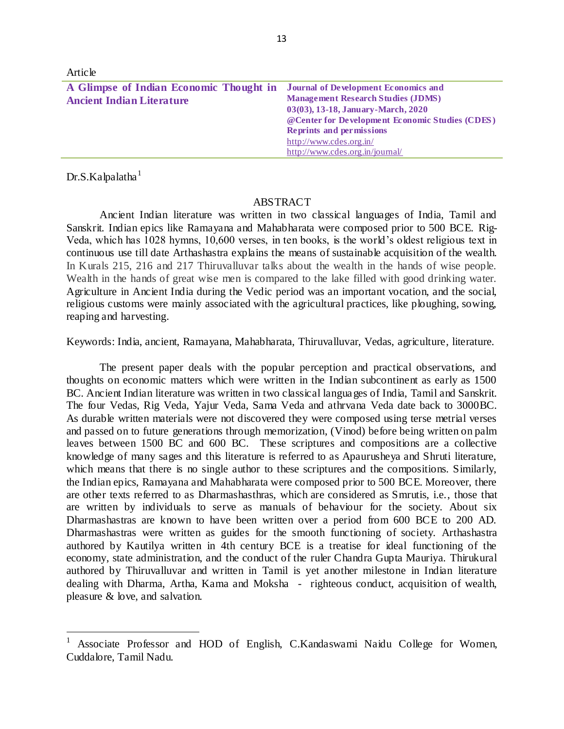| Article                                 |                                                 |
|-----------------------------------------|-------------------------------------------------|
| A Glimpse of Indian Economic Thought in | <b>Journal of Development Economics and</b>     |
| <b>Ancient Indian Literature</b>        | <b>Management Research Studies (JDMS)</b>       |
|                                         | 03(03), 13-18, January-March, 2020              |
|                                         | @Center for Development Economic Studies (CDES) |
|                                         | <b>Reprints and permissions</b>                 |
|                                         | http://www.cdes.org.in/                         |
|                                         | http://www.cdes.org.in/journal/                 |

 $Dr.S.Ka$ <sub>palatha</sub><sup>1</sup>

 $\ddot{\phantom{a}}$ 

## ABSTRACT

Ancient Indian literature was written in two classical languages of India, Tamil and Sanskrit. Indian epics like Ramayana and Mahabharata were composed prior to 500 BCE. Rig-Veda, which has 1028 hymns, 10,600 verses, in ten books, is the world's oldest religious text in continuous use till date Arthashastra explains the means of sustainable acquisition of the wealth. In Kurals 215, 216 and 217 Thiruvalluvar talks about the wealth in the hands of wise people. Wealth in the hands of great wise men is compared to the lake filled with good drinking water. Agriculture in Ancient India during the Vedic period was an important vocation, and the social, religious customs were mainly associated with the agricultural practices, like ploughing, sowing, reaping and harvesting.

Keywords: India, ancient, Ramayana, Mahabharata, Thiruvalluvar, Vedas, agriculture, literature.

The present paper deals with the popular perception and practical observations, and thoughts on economic matters which were written in the Indian subcontinent as early as 1500 BC. Ancient Indian literature was written in two classical languages of India, Tamil and Sanskrit. The four Vedas, Rig Veda, Yajur Veda, Sama Veda and athrvana Veda date back to 3000BC. As durable written materials were not discovered they were composed using terse metrial verses and passed on to future generations through memorization, (Vinod) before being written on palm leaves between 1500 BC and 600 BC. These scriptures and compositions are a collective knowledge of many sages and this literature is referred to as Apaurusheya and Shruti literature, which means that there is no single author to these scriptures and the compositions. Similarly, the Indian epics, Ramayana and Mahabharata were composed prior to 500 BCE. Moreover, there are other texts referred to as Dharmashasthras, which are considered as Smrutis, i.e., those that are written by individuals to serve as manuals of behaviour for the society. About six Dharmashastras are known to have been written over a period from 600 BCE to 200 AD. Dharmashastras were written as guides for the smooth functioning of society. Arthashastra authored by Kautilya written in 4th century BCE is a treatise for ideal functioning of the economy, state administration, and the conduct of the ruler Chandra Gupta Mauriya. Thirukural authored by Thiruvalluvar and written in Tamil is yet another milestone in Indian literature dealing with Dharma, Artha, Kama and Moksha - righteous conduct, acquisition of wealth, pleasure & love, and salvation.

<sup>1</sup> Associate Professor and HOD of English, C.Kandaswami Naidu College for Women, Cuddalore, Tamil Nadu.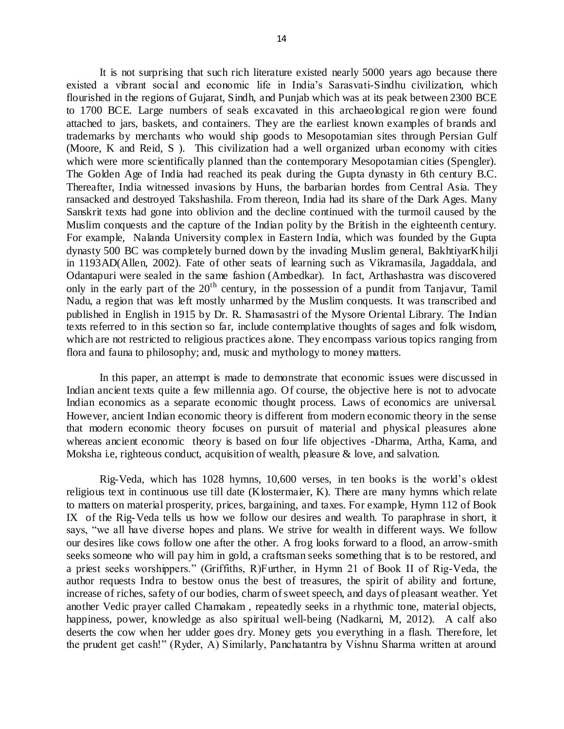It is not surprising that such rich literature existed nearly 5000 years ago because there existed a vibrant social and economic life in India's Sarasvati-Sindhu civilization, which flourished in the regions of Gujarat, Sindh, and Punjab which was at its peak between 2300 BCE to 1700 BCE. Large numbers of seals excavated in this archaeological region were found attached to jars, baskets, and containers. They are the earliest known examples of brands and trademarks by merchants who would ship goods to Mesopotamian sites through Persian Gulf (Moore, K and Reid, S ). This civilization had a well organized urban economy with cities which were more scientifically planned than the contemporary Mesopotamian cities (Spengler). The Golden Age of India had reached its peak during the Gupta dynasty in 6th century B.C. Thereafter, India witnessed invasions by Huns, the barbarian hordes from Central Asia. They ransacked and destroyed Takshashila. From thereon, India had its share of the Dark Ages. Many Sanskrit texts had gone into oblivion and the decline continued with the turmoil caused by the Muslim conquests and the capture of the Indian polity by the British in the eighteenth century. For example, Nalanda University complex in Eastern India, which was founded by the Gupta dynasty 500 BC was completely burned down by the invading Muslim general, BakhtiyarKhilji in 1193AD(Allen, 2002). Fate of other seats of learning such as Vikramasila, Jagaddala, and Odantapuri were sealed in the same fashion (Ambedkar). In fact, Arthashastra was discovered only in the early part of the  $20<sup>th</sup>$  century, in the possession of a pundit from Tanjavur, Tamil Nadu, a region that was left mostly unharmed by the Muslim conquests. It was transcribed and published in English in 1915 by Dr. R. Shamasastri of the Mysore Oriental Library. The Indian texts referred to in this section so far, include contemplative thoughts of sages and folk wisdom, which are not restricted to religious practices alone. They encompass various topics ranging from flora and fauna to philosophy; and, music and mythology to money matters.

In this paper, an attempt is made to demonstrate that economic issues were discussed in Indian ancient texts quite a few millennia ago. Of course, the objective here is not to advocate Indian economics as a separate economic thought process. Laws of economics are universal. However, ancient Indian economic theory is different from modern economic theory in the sense that modern economic theory focuses on pursuit of material and physical pleasures alone whereas ancient economic theory is based on four life objectives -Dharma, Artha, Kama, and Moksha i.e, righteous conduct, acquisition of wealth, pleasure  $\&$  love, and salvation.

Rig-Veda, which has 1028 hymns, 10,600 verses, in ten books is the world's oldest religious text in continuous use till date (Klostermaier, K). There are many hymns which relate to matters on material prosperity, prices, bargaining, and taxes. For example, Hymn 112 of Book IX of the Rig-Veda tells us how we follow our desires and wealth. To paraphrase in short, it says, "we all have diverse hopes and plans. We strive for wealth in different ways. We follow our desires like cows follow one after the other. A frog looks forward to a flood, an arrow-smith seeks someone who will pay him in gold, a craftsman seeks something that is to be restored, and a priest seeks worshippers." (Griffiths, R)Further, in Hymn 21 of Book II of Rig-Veda, the author requests Indra to bestow onus the best of treasures, the spirit of ability and fortune, increase of riches, safety of our bodies, charm of sweet speech, and days of pleasant weather. Yet another Vedic prayer called Chamakam , repeatedly seeks in a rhythmic tone, material objects, happiness, power, knowledge as also spiritual well-being (Nadkarni, M, 2012). A calf also deserts the cow when her udder goes dry. Money gets you everything in a flash. Therefore, let the prudent get cash!" (Ryder, A) Similarly, Panchatantra by Vishnu Sharma written at around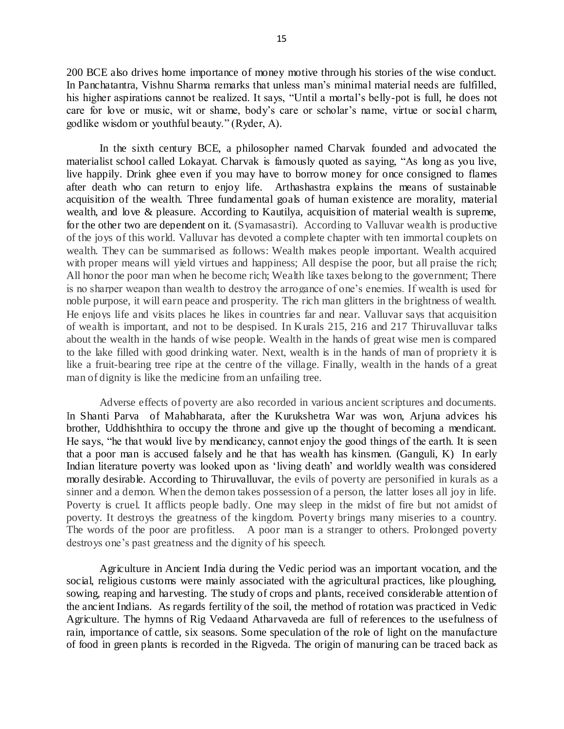200 BCE also drives home importance of money motive through his stories of the wise conduct. In Panchatantra, Vishnu Sharma remarks that unless man's minimal material needs are fulfilled, his higher aspirations cannot be realized. It says, "Until a mortal's belly-pot is full, he does not care for love or music, wit or shame, body's care or scholar's name, virtue or social c harm, godlike wisdom or youthful beauty." (Ryder, A).

In the sixth century BCE, a philosopher named Charvak founded and advocated the materialist school called Lokayat. Charvak is famously quoted as saying, "As long as you live, live happily. Drink ghee even if you may have to borrow money for once consigned to flames after death who can return to enjoy life. Arthashastra explains the means of sustainable acquisition of the wealth. Three fundamental goals of human existence are morality, material wealth, and love & pleasure. According to Kautilya, acquisition of material wealth is supreme, for the other two are dependent on it. (Syamasastri). According to Valluvar wealth is productive of the joys of this world. Valluvar has devoted a complete chapter with ten immortal couplets on wealth. They can be summarised as follows: Wealth makes people important. Wealth acquired with proper means will yield virtues and happiness; All despise the poor, but all praise the rich; All honor the poor man when he become rich; Wealth like taxes belong to the government; There is no sharper weapon than wealth to destroy the arrogance of one's enemies. If wealth is used for noble purpose, it will earn peace and prosperity. The rich man glitters in the brightness of wealth. He enjoys life and visits places he likes in countries far and near. Valluvar says that acquisition of wealth is important, and not to be despised. In Kurals 215, 216 and 217 Thiruvalluvar talks about the wealth in the hands of wise people. Wealth in the hands of great wise men is compared to the lake filled with good drinking water. Next, wealth is in the hands of man of propriety it is like a fruit-bearing tree ripe at the centre of the village. Finally, wealth in the hands of a great man of dignity is like the medicine from an unfailing tree.

Adverse effects of poverty are also recorded in various ancient scriptures and documents. In Shanti Parva of Mahabharata, after the Kurukshetra War was won, Arjuna advices his brother, Uddhishthira to occupy the throne and give up the thought of becoming a mendicant. He says, "he that would live by mendicancy, cannot enjoy the good things of the earth. It is seen that a poor man is accused falsely and he that has wealth has kinsmen. (Ganguli, K) In early Indian literature poverty was looked upon as 'living death' and worldly wealth was considered morally desirable. According to Thiruvalluvar, the evils of poverty are personified in kurals as a sinner and a demon. When the demon takes possession of a person, the latter loses all joy in life. Poverty is cruel. It afflicts people badly. One may sleep in the midst of fire but not amidst of poverty. It destroys the greatness of the kingdom. Poverty brings many miseries to a country. The words of the poor are profitless. A poor man is a stranger to others. Prolonged poverty destroys one's past greatness and the dignity of his speech.

Agriculture in Ancient India during the Vedic period was an important vocation, and the social, religious customs were mainly associated with the agricultural practices, like ploughing, sowing, reaping and harvesting. The study of crops and plants, received considerable attention of the ancient Indians. As regards fertility of the soil, the method of rotation was practiced in Vedic Agriculture. The hymns of Rig Vedaand Atharvaveda are full of references to the usefulness of rain, importance of cattle, six seasons. Some speculation of the role of light on the manufacture of food in green plants is recorded in the Rigveda. The origin of manuring can be traced back as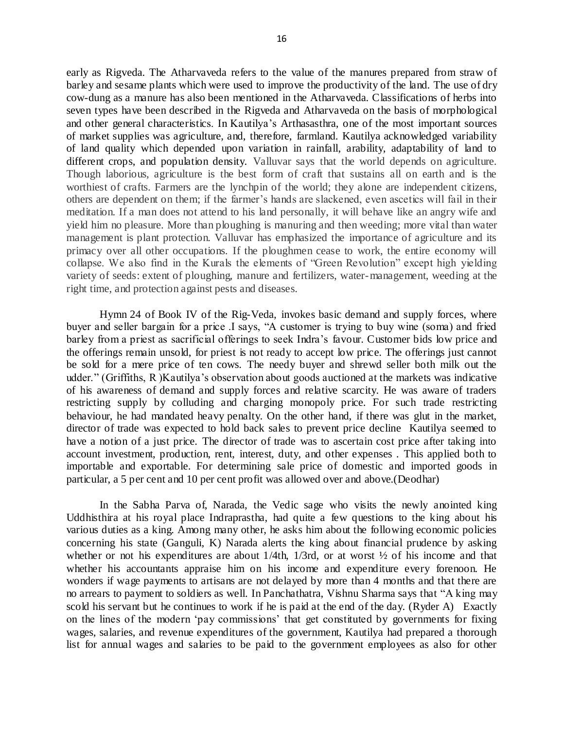early as Rigveda. The Atharvaveda refers to the value of the manures prepared from straw of barley and sesame plants which were used to improve the productivity of the land. The use of dry cow-dung as a manure has also been mentioned in the Atharvaveda. Classifications of herbs into seven types have been described in the Rigveda and Atharvaveda on the basis of morphological and other general characteristics. In Kautilya's Arthasasthra, one of the most important sources of market supplies was agriculture, and, therefore, farmland. Kautilya acknowledged variability of land quality which depended upon variation in rainfall, arability, adaptability of land to different crops, and population density. Valluvar says that the world depends on agriculture. Though laborious, agriculture is the best form of craft that sustains all on earth and is the worthiest of crafts. Farmers are the lynchpin of the world; they alone are independent citizens, others are dependent on them; if the farmer's hands are slackened, even ascetics will fail in their meditation. If a man does not attend to his land personally, it will behave like an angry wife and yield him no pleasure. More than ploughing is manuring and then weeding; more vital than water management is plant protection. Valluvar has emphasized the importance of agriculture and its primacy over all other occupations. If the ploughmen cease to work, the entire economy will collapse. We also find in the Kurals the elements of "Green Revolution" except high yielding variety of seeds: extent of ploughing, manure and fertilizers, water-management, weeding at the right time, and protection against pests and diseases.

Hymn 24 of Book IV of the Rig-Veda, invokes basic demand and supply forces, where buyer and seller bargain for a price .I says, "A customer is trying to buy wine (soma) and fried barley from a priest as sacrificial offerings to seek Indra's favour. Customer bids low price and the offerings remain unsold, for priest is not ready to accept low price. The offerings just cannot be sold for a mere price of ten cows. The needy buyer and shrewd seller both milk out the udder." (Griffiths, R )Kautilya's observation about goods auctioned at the markets was indicative of his awareness of demand and supply forces and relative scarcity. He was aware of traders restricting supply by colluding and charging monopoly price. For such trade restricting behaviour, he had mandated heavy penalty. On the other hand, if there was glut in the market, director of trade was expected to hold back sales to prevent price decline Kautilya seemed to have a notion of a just price. The director of trade was to ascertain cost price after taking into account investment, production, rent, interest, duty, and other expenses . This applied both to importable and exportable. For determining sale price of domestic and imported goods in particular, a 5 per cent and 10 per cent profit was allowed over and above.(Deodhar)

In the Sabha Parva of, Narada, the Vedic sage who visits the newly anointed king Uddhisthira at his royal place Indraprastha, had quite a few questions to the king about his various duties as a king. Among many other, he asks him about the following economic policies concerning his state (Ganguli, K) Narada alerts the king about financial prudence by asking whether or not his expenditures are about 1/4th, 1/3rd, or at worst  $\frac{1}{2}$  of his income and that whether his accountants appraise him on his income and expenditure every forenoon. He wonders if wage payments to artisans are not delayed by more than 4 months and that there are no arrears to payment to soldiers as well. In Panchathatra, Vishnu Sharma says that "A king may scold his servant but he continues to work if he is paid at the end of the day. (Ryder A) Exactly on the lines of the modern 'pay commissions' that get constituted by governments for fixing wages, salaries, and revenue expenditures of the government, Kautilya had prepared a thorough list for annual wages and salaries to be paid to the government employees as also for other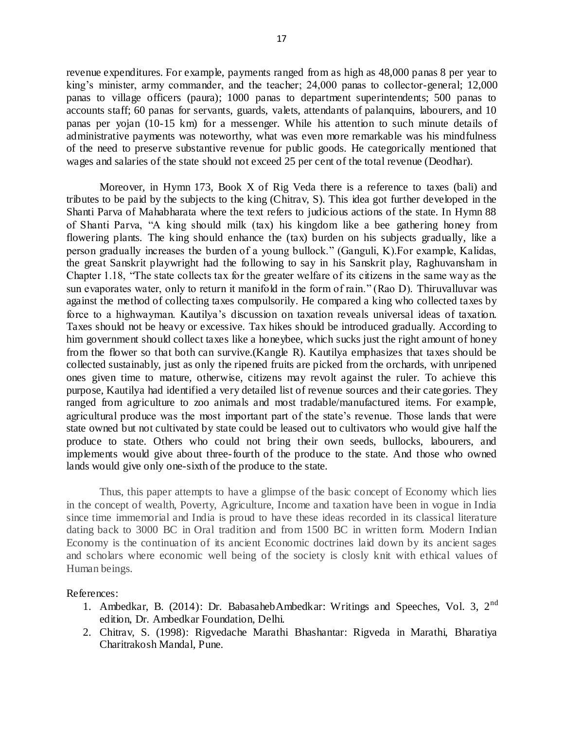revenue expenditures. For example, payments ranged from as high as 48,000 panas 8 per year to king's minister, army commander, and the teacher; 24,000 panas to collector-general; 12,000 panas to village officers (paura); 1000 panas to department superintendents; 500 panas to accounts staff; 60 panas for servants, guards, valets, attendants of palanquins, labourers, and 10 panas per yojan (10-15 km) for a messenger. While his attention to such minute details of administrative payments was noteworthy, what was even more remarkable was his mindfulness of the need to preserve substantive revenue for public goods. He categorically mentioned that wages and salaries of the state should not exceed 25 per cent of the total revenue (Deodhar).

Moreover, in Hymn 173, Book X of Rig Veda there is a reference to taxes (bali) and tributes to be paid by the subjects to the king (Chitrav, S). This idea got further developed in the Shanti Parva of Mahabharata where the text refers to judicious actions of the state. In Hymn 88 of Shanti Parva, "A king should milk (tax) his kingdom like a bee gathering honey from flowering plants. The king should enhance the (tax) burden on his subjects gradually, like a person gradually increases the burden of a young bullock." (Ganguli, K).For example, Kalidas, the great Sanskrit playwright had the following to say in his Sanskrit play, Raghuvansham in Chapter 1.18, "The state collects tax for the greater welfare of its citizens in the same way as the sun evaporates water, only to return it manifold in the form of rain." (Rao D). Thiruvalluvar was against the method of collecting taxes compulsorily. He compared a king who collected taxes by force to a highwayman. Kautilya's discussion on taxation reveals universal ideas of taxation. Taxes should not be heavy or excessive. Tax hikes should be introduced gradually. According to him government should collect taxes like a honeybee, which sucks just the right amount of honey from the flower so that both can survive.(Kangle R). Kautilya emphasizes that taxes should be collected sustainably, just as only the ripened fruits are picked from the orchards, with unripened ones given time to mature, otherwise, citizens may revolt against the ruler. To achieve this purpose, Kautilya had identified a very detailed list of revenue sources and their cate gories. They ranged from agriculture to zoo animals and most tradable/manufactured items. For example, agricultural produce was the most important part of the state's revenue. Those lands that were state owned but not cultivated by state could be leased out to cultivators who would give half the produce to state. Others who could not bring their own seeds, bullocks, labourers, and implements would give about three-fourth of the produce to the state. And those who owned lands would give only one-sixth of the produce to the state.

Thus, this paper attempts to have a glimpse of the basic concept of Economy which lies in the concept of wealth, Poverty, Agriculture, Income and taxation have been in vogue in India since time immemorial and India is proud to have these ideas recorded in its classical literature dating back to 3000 BC in Oral tradition and from 1500 BC in written form. Modern Indian Economy is the continuation of its ancient Economic doctrines laid down by its ancient sages and scholars where economic well being of the society is closly knit with ethical values of Human beings.

## References:

- 1. Ambedkar, B. (2014): Dr. BabasahebAmbedkar: Writings and Speeches, Vol. 3, 2nd edition, Dr. Ambedkar Foundation, Delhi.
- 2. Chitrav, S. (1998): Rigvedache Marathi Bhashantar: Rigveda in Marathi, Bharatiya Charitrakosh Mandal, Pune.